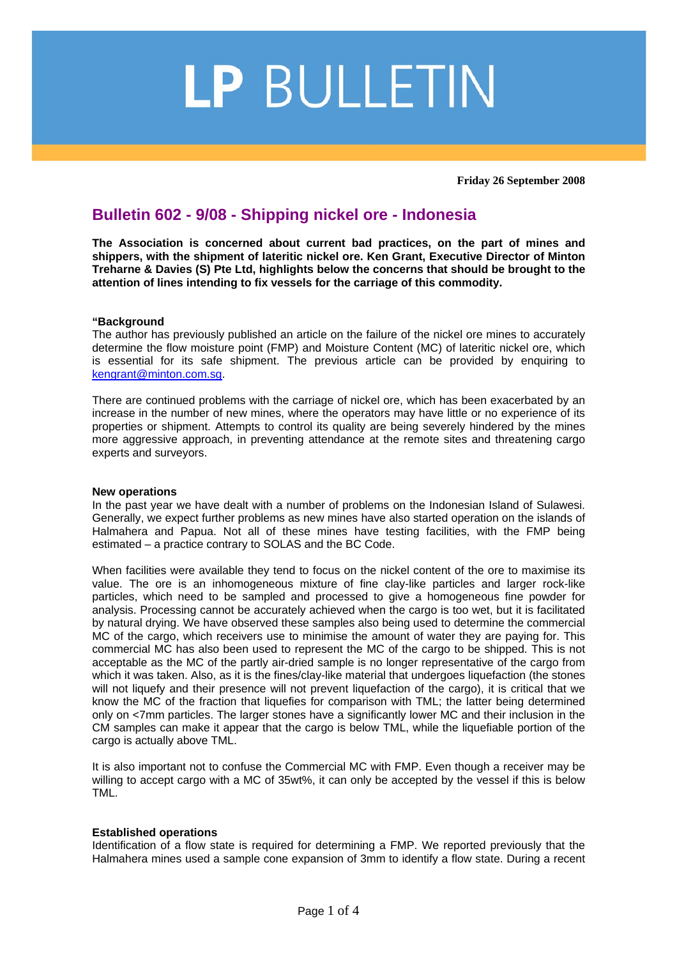# LP BULLETIN

**Friday 26 September 2008** 

# **Bulletin 602 - 9/08 - Shipping nickel ore - Indonesia**

**The Association is concerned about current bad practices, on the part of mines and shippers, with the shipment of lateritic nickel ore. Ken Grant, Executive Director of Minton Treharne & Davies (S) Pte Ltd, highlights below the concerns that should be brought to the attention of lines intending to fix vessels for the carriage of this commodity.** 

## **"Background**

The author has previously published an article on the failure of the nickel ore mines to accurately determine the flow moisture point (FMP) and Moisture Content (MC) of lateritic nickel ore, which is essential for its safe shipment. The previous article can be provided by enquiring to kengrant@minton.com.sg.

There are continued problems with the carriage of nickel ore, which has been exacerbated by an increase in the number of new mines, where the operators may have little or no experience of its properties or shipment. Attempts to control its quality are being severely hindered by the mines more aggressive approach, in preventing attendance at the remote sites and threatening cargo experts and surveyors.

#### **New operations**

In the past year we have dealt with a number of problems on the Indonesian Island of Sulawesi. Generally, we expect further problems as new mines have also started operation on the islands of Halmahera and Papua. Not all of these mines have testing facilities, with the FMP being estimated – a practice contrary to SOLAS and the BC Code.

When facilities were available they tend to focus on the nickel content of the ore to maximise its value. The ore is an inhomogeneous mixture of fine clay-like particles and larger rock-like particles, which need to be sampled and processed to give a homogeneous fine powder for analysis. Processing cannot be accurately achieved when the cargo is too wet, but it is facilitated by natural drying. We have observed these samples also being used to determine the commercial MC of the cargo, which receivers use to minimise the amount of water they are paying for. This commercial MC has also been used to represent the MC of the cargo to be shipped. This is not acceptable as the MC of the partly air-dried sample is no longer representative of the cargo from which it was taken. Also, as it is the fines/clay-like material that undergoes liquefaction (the stones will not liquefy and their presence will not prevent liquefaction of the cargo), it is critical that we know the MC of the fraction that liquefies for comparison with TML; the latter being determined only on <7mm particles. The larger stones have a significantly lower MC and their inclusion in the CM samples can make it appear that the cargo is below TML, while the liquefiable portion of the cargo is actually above TML.

It is also important not to confuse the Commercial MC with FMP. Even though a receiver may be willing to accept cargo with a MC of 35wt%, it can only be accepted by the vessel if this is below TML.

## **Established operations**

Identification of a flow state is required for determining a FMP. We reported previously that the Halmahera mines used a sample cone expansion of 3mm to identify a flow state. During a recent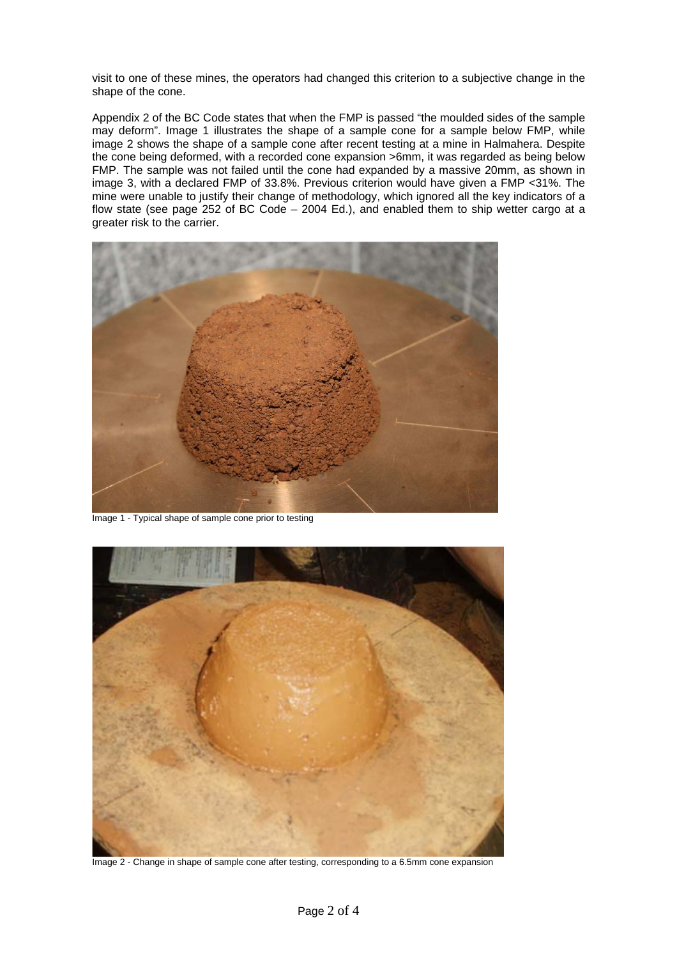visit to one of these mines, the operators had changed this criterion to a subjective change in the shape of the cone.

Appendix 2 of the BC Code states that when the FMP is passed "the moulded sides of the sample may deform". Image 1 illustrates the shape of a sample cone for a sample below FMP, while image 2 shows the shape of a sample cone after recent testing at a mine in Halmahera. Despite the cone being deformed, with a recorded cone expansion >6mm, it was regarded as being below FMP. The sample was not failed until the cone had expanded by a massive 20mm, as shown in image 3, with a declared FMP of 33.8%. Previous criterion would have given a FMP <31%. The mine were unable to justify their change of methodology, which ignored all the key indicators of a flow state (see page 252 of BC Code – 2004 Ed.), and enabled them to ship wetter cargo at a greater risk to the carrier.



Image 1 - Typical shape of sample cone prior to testing



Image 2 - Change in shape of sample cone after testing, corresponding to a 6.5mm cone expansion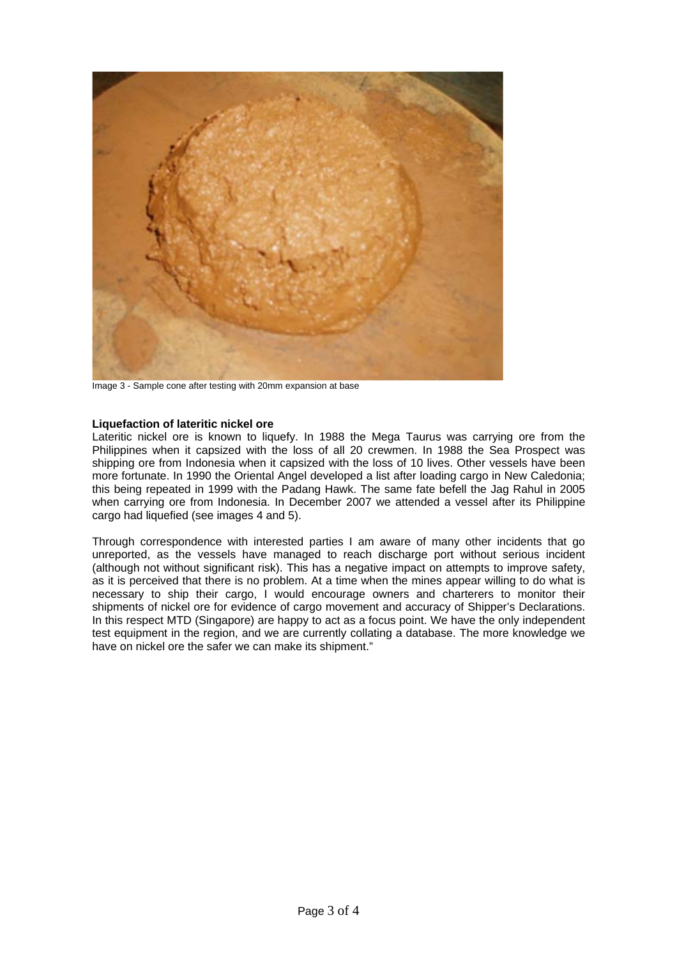

Image 3 - Sample cone after testing with 20mm expansion at base

#### **Liquefaction of lateritic nickel ore**

Lateritic nickel ore is known to liquefy. In 1988 the Mega Taurus was carrying ore from the Philippines when it capsized with the loss of all 20 crewmen. In 1988 the Sea Prospect was shipping ore from Indonesia when it capsized with the loss of 10 lives. Other vessels have been more fortunate. In 1990 the Oriental Angel developed a list after loading cargo in New Caledonia; this being repeated in 1999 with the Padang Hawk. The same fate befell the Jag Rahul in 2005 when carrying ore from Indonesia. In December 2007 we attended a vessel after its Philippine cargo had liquefied (see images 4 and 5).

Through correspondence with interested parties I am aware of many other incidents that go unreported, as the vessels have managed to reach discharge port without serious incident (although not without significant risk). This has a negative impact on attempts to improve safety, as it is perceived that there is no problem. At a time when the mines appear willing to do what is necessary to ship their cargo, I would encourage owners and charterers to monitor their shipments of nickel ore for evidence of cargo movement and accuracy of Shipper's Declarations. In this respect MTD (Singapore) are happy to act as a focus point. We have the only independent test equipment in the region, and we are currently collating a database. The more knowledge we have on nickel ore the safer we can make its shipment."